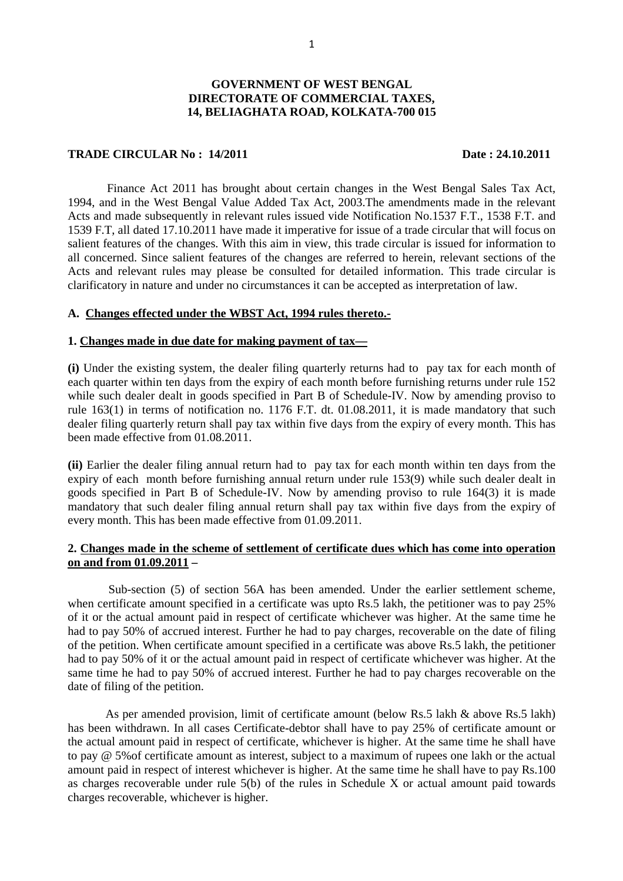#### 1

## **GOVERNMENT OF WEST BENGAL DIRECTORATE OF COMMERCIAL TAXES, 14, BELIAGHATA ROAD, KOLKATA-700 015**

## **TRADE CIRCULAR No : 14/2011 Date : 24.10.2011**

Finance Act 2011 has brought about certain changes in the West Bengal Sales Tax Act, 1994, and in the West Bengal Value Added Tax Act, 2003.The amendments made in the relevant Acts and made subsequently in relevant rules issued vide Notification No.1537 F.T., 1538 F.T. and 1539 F.T, all dated 17.10.2011 have made it imperative for issue of a trade circular that will focus on salient features of the changes. With this aim in view, this trade circular is issued for information to all concerned. Since salient features of the changes are referred to herein, relevant sections of the Acts and relevant rules may please be consulted for detailed information. This trade circular is clarificatory in nature and under no circumstances it can be accepted as interpretation of law.

## **A. Changes effected under the WBST Act, 1994 rules thereto.-**

#### **1. Changes made in due date for making payment of tax—**

**(i)** Under the existing system, the dealer filing quarterly returns had to pay tax for each month of each quarter within ten days from the expiry of each month before furnishing returns under rule 152 while such dealer dealt in goods specified in Part B of Schedule-IV. Now by amending proviso to rule 163(1) in terms of notification no. 1176 F.T. dt. 01.08.2011, it is made mandatory that such dealer filing quarterly return shall pay tax within five days from the expiry of every month. This has been made effective from 01.08.2011.

**(ii)** Earlier the dealer filing annual return had to pay tax for each month within ten days from the expiry of each month before furnishing annual return under rule 153(9) while such dealer dealt in goods specified in Part B of Schedule-IV. Now by amending proviso to rule 164(3) it is made mandatory that such dealer filing annual return shall pay tax within five days from the expiry of every month. This has been made effective from 01.09.2011.

# **2. Changes made in the scheme of settlement of certificate dues which has come into operation on and from 01.09.2011 –**

Sub-section (5) of section 56A has been amended. Under the earlier settlement scheme, when certificate amount specified in a certificate was upto Rs.5 lakh, the petitioner was to pay 25% of it or the actual amount paid in respect of certificate whichever was higher. At the same time he had to pay 50% of accrued interest. Further he had to pay charges, recoverable on the date of filing of the petition. When certificate amount specified in a certificate was above Rs.5 lakh, the petitioner had to pay 50% of it or the actual amount paid in respect of certificate whichever was higher. At the same time he had to pay 50% of accrued interest. Further he had to pay charges recoverable on the date of filing of the petition.

 As per amended provision, limit of certificate amount (below Rs.5 lakh & above Rs.5 lakh) has been withdrawn. In all cases Certificate-debtor shall have to pay 25% of certificate amount or the actual amount paid in respect of certificate, whichever is higher. At the same time he shall have to pay @ 5%of certificate amount as interest, subject to a maximum of rupees one lakh or the actual amount paid in respect of interest whichever is higher. At the same time he shall have to pay Rs.100 as charges recoverable under rule 5(b) of the rules in Schedule X or actual amount paid towards charges recoverable, whichever is higher.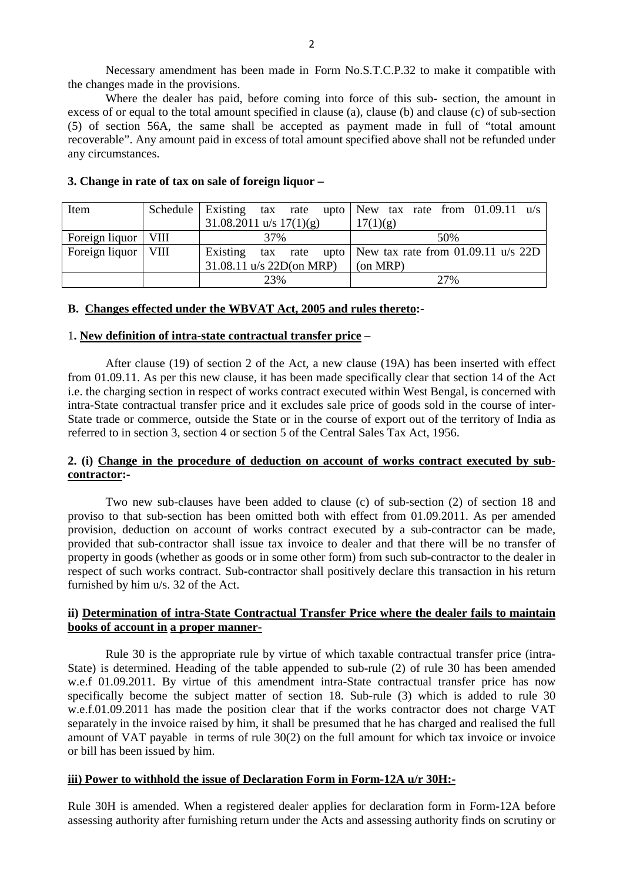Necessary amendment has been made in Form No.S.T.C.P.32 to make it compatible with the changes made in the provisions.

 Where the dealer has paid, before coming into force of this sub- section, the amount in excess of or equal to the total amount specified in clause (a), clause (b) and clause (c) of sub-section (5) of section 56A, the same shall be accepted as payment made in full of "total amount recoverable". Any amount paid in excess of total amount specified above shall not be refunded under any circumstances.

| Item                  | Schedule Existing tax rate upto New tax rate from $01.09.11$ u/s |  |  |          |                                                      |  |  |  |  |  |
|-----------------------|------------------------------------------------------------------|--|--|----------|------------------------------------------------------|--|--|--|--|--|
|                       | $31.08.2011$ u/s $17(1)(g)$                                      |  |  | 17(1)(g) |                                                      |  |  |  |  |  |
| Foreign liquor   VIII | 37%                                                              |  |  | 50%      |                                                      |  |  |  |  |  |
| Foreign liquor   VIII | Existing                                                         |  |  |          | tax rate upto   New tax rate from $01.09.11$ u/s 22D |  |  |  |  |  |
|                       | 31.08.11 u/s 22D(on MRP)                                         |  |  |          | $(on \text{MRP})$                                    |  |  |  |  |  |
|                       | 23%                                                              |  |  | 27%      |                                                      |  |  |  |  |  |

## **3. Change in rate of tax on sale of foreign liquor –**

## **B. Changes effected under the WBVAT Act, 2005 and rules thereto:-**

#### 1**. New definition of intra-state contractual transfer price –**

 After clause (19) of section 2 of the Act, a new clause (19A) has been inserted with effect from 01.09.11. As per this new clause, it has been made specifically clear that section 14 of the Act i.e. the charging section in respect of works contract executed within West Bengal, is concerned with intra-State contractual transfer price and it excludes sale price of goods sold in the course of inter-State trade or commerce, outside the State or in the course of export out of the territory of India as referred to in section 3, section 4 or section 5 of the Central Sales Tax Act, 1956.

# **2. (i) Change in the procedure of deduction on account of works contract executed by subcontractor:-**

 Two new sub-clauses have been added to clause (c) of sub-section (2) of section 18 and proviso to that sub-section has been omitted both with effect from 01.09.2011. As per amended provision, deduction on account of works contract executed by a sub-contractor can be made, provided that sub-contractor shall issue tax invoice to dealer and that there will be no transfer of property in goods (whether as goods or in some other form) from such sub-contractor to the dealer in respect of such works contract. Sub-contractor shall positively declare this transaction in his return furnished by him u/s. 32 of the Act.

# **ii) Determination of intra-State Contractual Transfer Price where the dealer fails to maintain books of account in a proper manner-**

 Rule 30 is the appropriate rule by virtue of which taxable contractual transfer price (intra-State) is determined. Heading of the table appended to sub-rule (2) of rule 30 has been amended w.e.f 01.09.2011. By virtue of this amendment intra-State contractual transfer price has now specifically become the subject matter of section 18. Sub-rule (3) which is added to rule 30 w.e.f.01.09.2011 has made the position clear that if the works contractor does not charge VAT separately in the invoice raised by him, it shall be presumed that he has charged and realised the full amount of VAT payable in terms of rule 30(2) on the full amount for which tax invoice or invoice or bill has been issued by him.

## **iii) Power to withhold the issue of Declaration Form in Form-12A u/r 30H:-**

Rule 30H is amended. When a registered dealer applies for declaration form in Form-12A before assessing authority after furnishing return under the Acts and assessing authority finds on scrutiny or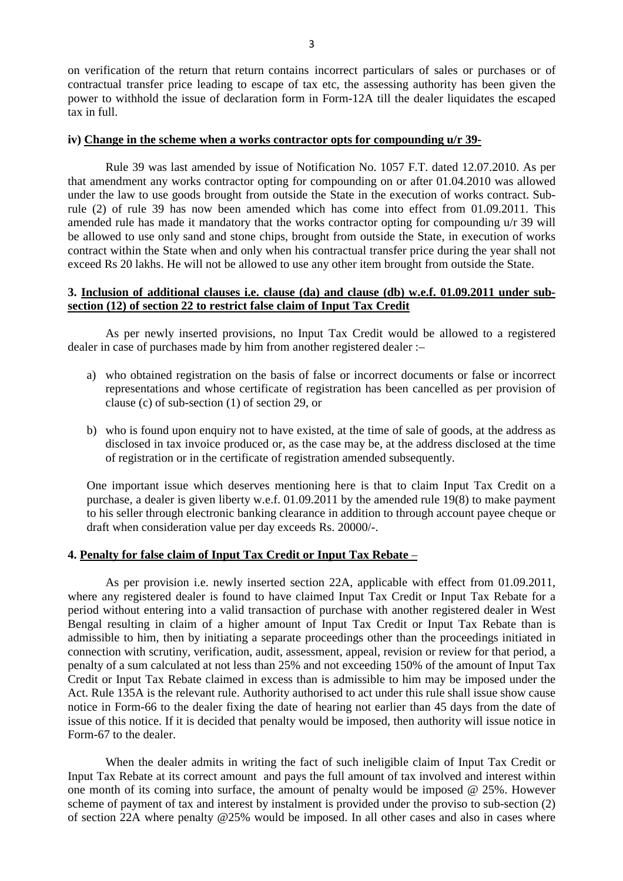on verification of the return that return contains incorrect particulars of sales or purchases or of contractual transfer price leading to escape of tax etc, the assessing authority has been given the power to withhold the issue of declaration form in Form-12A till the dealer liquidates the escaped tax in full.

## **iv) Change in the scheme when a works contractor opts for compounding u/r 39-**

 Rule 39 was last amended by issue of Notification No. 1057 F.T. dated 12.07.2010. As per that amendment any works contractor opting for compounding on or after 01.04.2010 was allowed under the law to use goods brought from outside the State in the execution of works contract. Subrule (2) of rule 39 has now been amended which has come into effect from 01.09.2011. This amended rule has made it mandatory that the works contractor opting for compounding u/r 39 will be allowed to use only sand and stone chips, brought from outside the State, in execution of works contract within the State when and only when his contractual transfer price during the year shall not exceed Rs 20 lakhs. He will not be allowed to use any other item brought from outside the State.

# **3. Inclusion of additional clauses i.e. clause (da) and clause (db) w.e.f. 01.09.2011 under subsection (12) of section 22 to restrict false claim of Input Tax Credit**

 As per newly inserted provisions, no Input Tax Credit would be allowed to a registered dealer in case of purchases made by him from another registered dealer :–

- a) who obtained registration on the basis of false or incorrect documents or false or incorrect representations and whose certificate of registration has been cancelled as per provision of clause (c) of sub-section (1) of section 29, or
- b) who is found upon enquiry not to have existed, at the time of sale of goods, at the address as disclosed in tax invoice produced or, as the case may be, at the address disclosed at the time of registration or in the certificate of registration amended subsequently.

One important issue which deserves mentioning here is that to claim Input Tax Credit on a purchase, a dealer is given liberty w.e.f. 01.09.2011 by the amended rule 19(8) to make payment to his seller through electronic banking clearance in addition to through account payee cheque or draft when consideration value per day exceeds Rs. 20000/-.

## **4. Penalty for false claim of Input Tax Credit or Input Tax Rebate** –

 As per provision i.e. newly inserted section 22A, applicable with effect from 01.09.2011, where any registered dealer is found to have claimed Input Tax Credit or Input Tax Rebate for a period without entering into a valid transaction of purchase with another registered dealer in West Bengal resulting in claim of a higher amount of Input Tax Credit or Input Tax Rebate than is admissible to him, then by initiating a separate proceedings other than the proceedings initiated in connection with scrutiny, verification, audit, assessment, appeal, revision or review for that period, a penalty of a sum calculated at not less than 25% and not exceeding 150% of the amount of Input Tax Credit or Input Tax Rebate claimed in excess than is admissible to him may be imposed under the Act. Rule 135A is the relevant rule. Authority authorised to act under this rule shall issue show cause notice in Form-66 to the dealer fixing the date of hearing not earlier than 45 days from the date of issue of this notice. If it is decided that penalty would be imposed, then authority will issue notice in Form-67 to the dealer.

 When the dealer admits in writing the fact of such ineligible claim of Input Tax Credit or Input Tax Rebate at its correct amount and pays the full amount of tax involved and interest within one month of its coming into surface, the amount of penalty would be imposed @ 25%. However scheme of payment of tax and interest by instalment is provided under the proviso to sub-section (2) of section 22A where penalty @25% would be imposed. In all other cases and also in cases where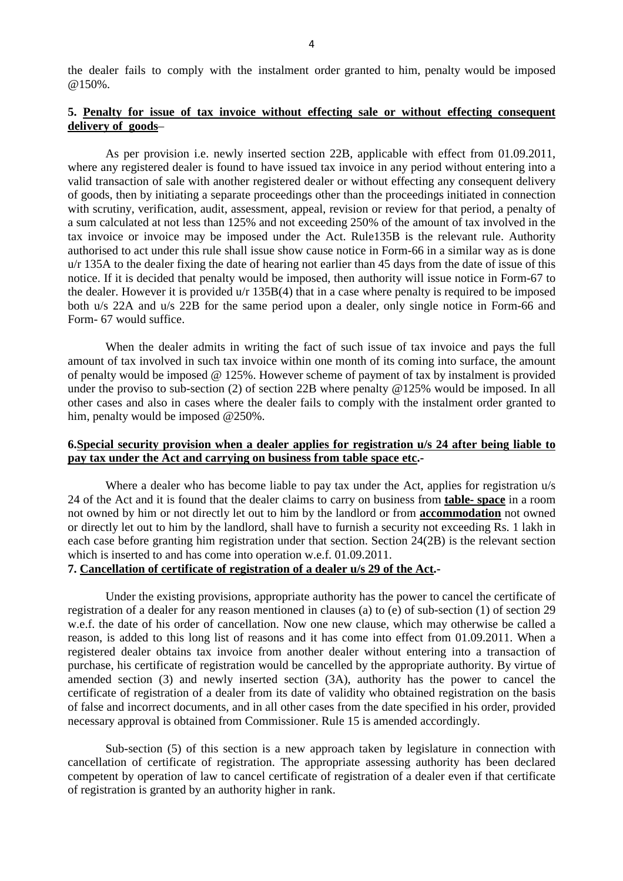the dealer fails to comply with the instalment order granted to him, penalty would be imposed @150%.

# **5. Penalty for issue of tax invoice without effecting sale or without effecting consequent delivery of goods**–

 As per provision i.e. newly inserted section 22B, applicable with effect from 01.09.2011, where any registered dealer is found to have issued tax invoice in any period without entering into a valid transaction of sale with another registered dealer or without effecting any consequent delivery of goods, then by initiating a separate proceedings other than the proceedings initiated in connection with scrutiny, verification, audit, assessment, appeal, revision or review for that period, a penalty of a sum calculated at not less than 125% and not exceeding 250% of the amount of tax involved in the tax invoice or invoice may be imposed under the Act. Rule135B is the relevant rule. Authority authorised to act under this rule shall issue show cause notice in Form-66 in a similar way as is done u/r 135A to the dealer fixing the date of hearing not earlier than 45 days from the date of issue of this notice. If it is decided that penalty would be imposed, then authority will issue notice in Form-67 to the dealer. However it is provided u/r 135B(4) that in a case where penalty is required to be imposed both u/s 22A and u/s 22B for the same period upon a dealer, only single notice in Form-66 and Form- 67 would suffice.

 When the dealer admits in writing the fact of such issue of tax invoice and pays the full amount of tax involved in such tax invoice within one month of its coming into surface, the amount of penalty would be imposed @ 125%. However scheme of payment of tax by instalment is provided under the proviso to sub-section (2) of section 22B where penalty @125% would be imposed. In all other cases and also in cases where the dealer fails to comply with the instalment order granted to him, penalty would be imposed @250%.

# **6.Special security provision when a dealer applies for registration u/s 24 after being liable to pay tax under the Act and carrying on business from table space etc.-**

Where a dealer who has become liable to pay tax under the Act, applies for registration  $u/s$ 24 of the Act and it is found that the dealer claims to carry on business from **table- space** in a room not owned by him or not directly let out to him by the landlord or from **accommodation** not owned or directly let out to him by the landlord, shall have to furnish a security not exceeding Rs. 1 lakh in each case before granting him registration under that section. Section 24(2B) is the relevant section which is inserted to and has come into operation w.e.f. 01.09.2011.

# **7. Cancellation of certificate of registration of a dealer u/s 29 of the Act.-**

 Under the existing provisions, appropriate authority has the power to cancel the certificate of registration of a dealer for any reason mentioned in clauses (a) to (e) of sub-section (1) of section 29 w.e.f. the date of his order of cancellation. Now one new clause, which may otherwise be called a reason, is added to this long list of reasons and it has come into effect from 01.09.2011. When a registered dealer obtains tax invoice from another dealer without entering into a transaction of purchase, his certificate of registration would be cancelled by the appropriate authority. By virtue of amended section (3) and newly inserted section (3A), authority has the power to cancel the certificate of registration of a dealer from its date of validity who obtained registration on the basis of false and incorrect documents, and in all other cases from the date specified in his order, provided necessary approval is obtained from Commissioner. Rule 15 is amended accordingly.

 Sub-section (5) of this section is a new approach taken by legislature in connection with cancellation of certificate of registration. The appropriate assessing authority has been declared competent by operation of law to cancel certificate of registration of a dealer even if that certificate of registration is granted by an authority higher in rank.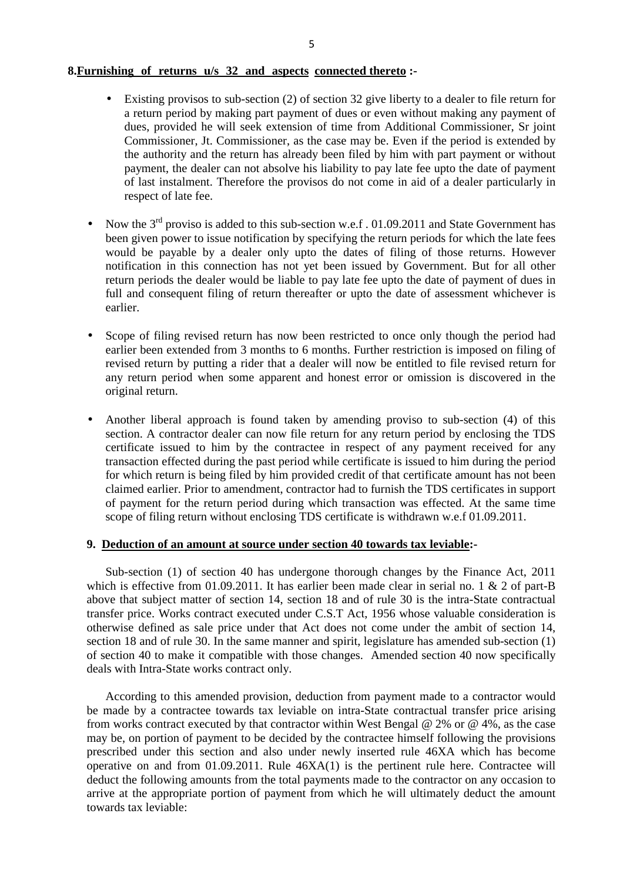## **8.Furnishing of returns u/s 32 and aspects connected thereto :-**

- Existing provisos to sub-section (2) of section 32 give liberty to a dealer to file return for a return period by making part payment of dues or even without making any payment of dues, provided he will seek extension of time from Additional Commissioner, Sr joint Commissioner, Jt. Commissioner, as the case may be. Even if the period is extended by the authority and the return has already been filed by him with part payment or without payment, the dealer can not absolve his liability to pay late fee upto the date of payment of last instalment. Therefore the provisos do not come in aid of a dealer particularly in respect of late fee.
- Now the  $3^{rd}$  proviso is added to this sub-section w.e.f. 01.09.2011 and State Government has been given power to issue notification by specifying the return periods for which the late fees would be payable by a dealer only upto the dates of filing of those returns. However notification in this connection has not yet been issued by Government. But for all other return periods the dealer would be liable to pay late fee upto the date of payment of dues in full and consequent filing of return thereafter or upto the date of assessment whichever is earlier.
- Scope of filing revised return has now been restricted to once only though the period had earlier been extended from 3 months to 6 months. Further restriction is imposed on filing of revised return by putting a rider that a dealer will now be entitled to file revised return for any return period when some apparent and honest error or omission is discovered in the original return.
- Another liberal approach is found taken by amending proviso to sub-section (4) of this section. A contractor dealer can now file return for any return period by enclosing the TDS certificate issued to him by the contractee in respect of any payment received for any transaction effected during the past period while certificate is issued to him during the period for which return is being filed by him provided credit of that certificate amount has not been claimed earlier. Prior to amendment, contractor had to furnish the TDS certificates in support of payment for the return period during which transaction was effected. At the same time scope of filing return without enclosing TDS certificate is withdrawn w.e.f 01.09.2011.

## **9. Deduction of an amount at source under section 40 towards tax leviable:-**

 Sub-section (1) of section 40 has undergone thorough changes by the Finance Act, 2011 which is effective from 01.09.2011. It has earlier been made clear in serial no. 1  $\&$  2 of part-B above that subject matter of section 14, section 18 and of rule 30 is the intra-State contractual transfer price. Works contract executed under C.S.T Act, 1956 whose valuable consideration is otherwise defined as sale price under that Act does not come under the ambit of section 14, section 18 and of rule 30. In the same manner and spirit, legislature has amended sub-section (1) of section 40 to make it compatible with those changes. Amended section 40 now specifically deals with Intra-State works contract only.

 According to this amended provision, deduction from payment made to a contractor would be made by a contractee towards tax leviable on intra-State contractual transfer price arising from works contract executed by that contractor within West Bengal @ 2% or @ 4%, as the case may be, on portion of payment to be decided by the contractee himself following the provisions prescribed under this section and also under newly inserted rule 46XA which has become operative on and from 01.09.2011. Rule 46XA(1) is the pertinent rule here. Contractee will deduct the following amounts from the total payments made to the contractor on any occasion to arrive at the appropriate portion of payment from which he will ultimately deduct the amount towards tax leviable: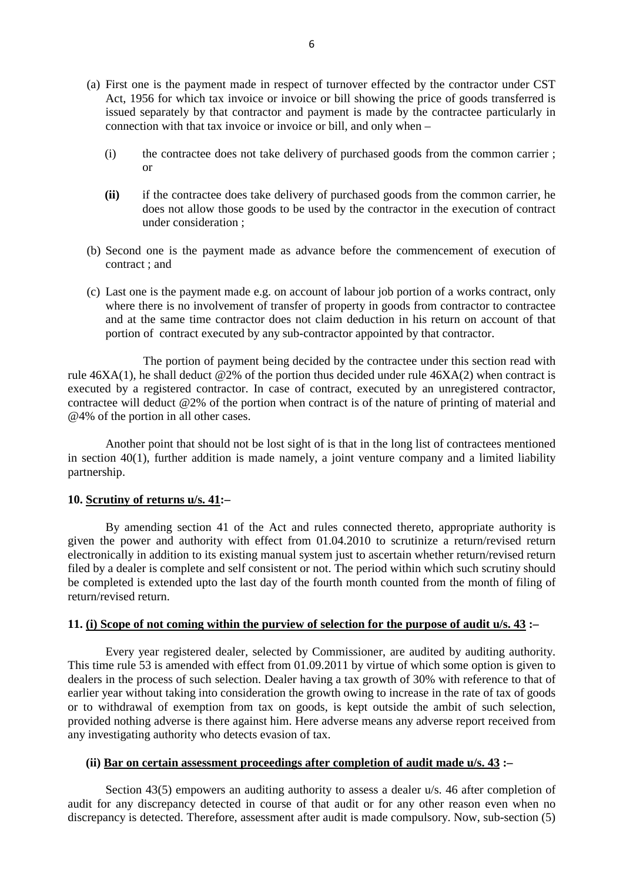- (a) First one is the payment made in respect of turnover effected by the contractor under CST Act, 1956 for which tax invoice or invoice or bill showing the price of goods transferred is issued separately by that contractor and payment is made by the contractee particularly in connection with that tax invoice or invoice or bill, and only when –
	- (i) the contractee does not take delivery of purchased goods from the common carrier ; or
	- **(ii)** if the contractee does take delivery of purchased goods from the common carrier, he does not allow those goods to be used by the contractor in the execution of contract under consideration ;
- (b) Second one is the payment made as advance before the commencement of execution of contract ; and
- (c) Last one is the payment made e.g. on account of labour job portion of a works contract, only where there is no involvement of transfer of property in goods from contractor to contractee and at the same time contractor does not claim deduction in his return on account of that portion of contract executed by any sub-contractor appointed by that contractor.

 The portion of payment being decided by the contractee under this section read with rule  $46XA(1)$ , he shall deduct  $@2\%$  of the portion thus decided under rule  $46XA(2)$  when contract is executed by a registered contractor. In case of contract, executed by an unregistered contractor, contractee will deduct @2% of the portion when contract is of the nature of printing of material and @4% of the portion in all other cases.

 Another point that should not be lost sight of is that in the long list of contractees mentioned in section 40(1), further addition is made namely, a joint venture company and a limited liability partnership.

## **10. Scrutiny of returns u/s. 41:–**

 By amending section 41 of the Act and rules connected thereto, appropriate authority is given the power and authority with effect from 01.04.2010 to scrutinize a return/revised return electronically in addition to its existing manual system just to ascertain whether return/revised return filed by a dealer is complete and self consistent or not. The period within which such scrutiny should be completed is extended upto the last day of the fourth month counted from the month of filing of return/revised return.

# **11. (i) Scope of not coming within the purview of selection for the purpose of audit u/s. 43 :–**

 Every year registered dealer, selected by Commissioner, are audited by auditing authority. This time rule 53 is amended with effect from 01.09.2011 by virtue of which some option is given to dealers in the process of such selection. Dealer having a tax growth of 30% with reference to that of earlier year without taking into consideration the growth owing to increase in the rate of tax of goods or to withdrawal of exemption from tax on goods, is kept outside the ambit of such selection, provided nothing adverse is there against him. Here adverse means any adverse report received from any investigating authority who detects evasion of tax.

## **(ii) Bar on certain assessment proceedings after completion of audit made u/s. 43 :–**

 Section 43(5) empowers an auditing authority to assess a dealer u/s. 46 after completion of audit for any discrepancy detected in course of that audit or for any other reason even when no discrepancy is detected. Therefore, assessment after audit is made compulsory. Now, sub-section (5)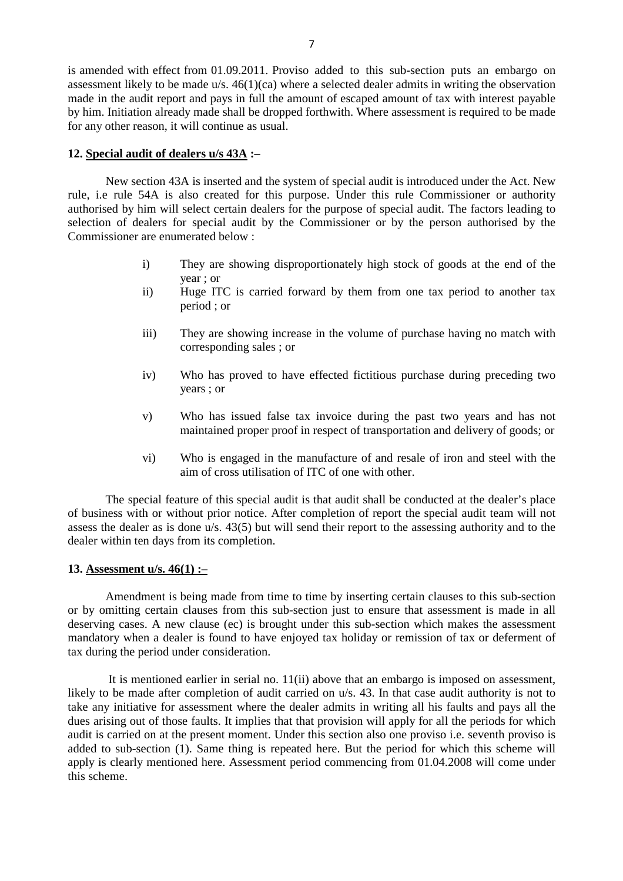is amended with effect from 01.09.2011. Proviso added to this sub-section puts an embargo on assessment likely to be made  $u/s$ .  $46(1)(ca)$  where a selected dealer admits in writing the observation made in the audit report and pays in full the amount of escaped amount of tax with interest payable by him. Initiation already made shall be dropped forthwith. Where assessment is required to be made for any other reason, it will continue as usual.

#### **12. Special audit of dealers u/s 43A :–**

 New section 43A is inserted and the system of special audit is introduced under the Act. New rule, i.e rule 54A is also created for this purpose. Under this rule Commissioner or authority authorised by him will select certain dealers for the purpose of special audit. The factors leading to selection of dealers for special audit by the Commissioner or by the person authorised by the Commissioner are enumerated below :

- i) They are showing disproportionately high stock of goods at the end of the year ; or
- ii) Huge ITC is carried forward by them from one tax period to another tax period ; or
- iii) They are showing increase in the volume of purchase having no match with corresponding sales ; or
- iv) Who has proved to have effected fictitious purchase during preceding two years ; or
- v) Who has issued false tax invoice during the past two years and has not maintained proper proof in respect of transportation and delivery of goods; or
- vi) Who is engaged in the manufacture of and resale of iron and steel with the aim of cross utilisation of ITC of one with other.

 The special feature of this special audit is that audit shall be conducted at the dealer's place of business with or without prior notice. After completion of report the special audit team will not assess the dealer as is done u/s. 43(5) but will send their report to the assessing authority and to the dealer within ten days from its completion.

#### **13. Assessment u/s. 46(1) :–**

 Amendment is being made from time to time by inserting certain clauses to this sub-section or by omitting certain clauses from this sub-section just to ensure that assessment is made in all deserving cases. A new clause (ec) is brought under this sub-section which makes the assessment mandatory when a dealer is found to have enjoyed tax holiday or remission of tax or deferment of tax during the period under consideration.

 It is mentioned earlier in serial no. 11(ii) above that an embargo is imposed on assessment, likely to be made after completion of audit carried on u/s. 43. In that case audit authority is not to take any initiative for assessment where the dealer admits in writing all his faults and pays all the dues arising out of those faults. It implies that that provision will apply for all the periods for which audit is carried on at the present moment. Under this section also one proviso i.e. seventh proviso is added to sub-section (1). Same thing is repeated here. But the period for which this scheme will apply is clearly mentioned here. Assessment period commencing from 01.04.2008 will come under this scheme.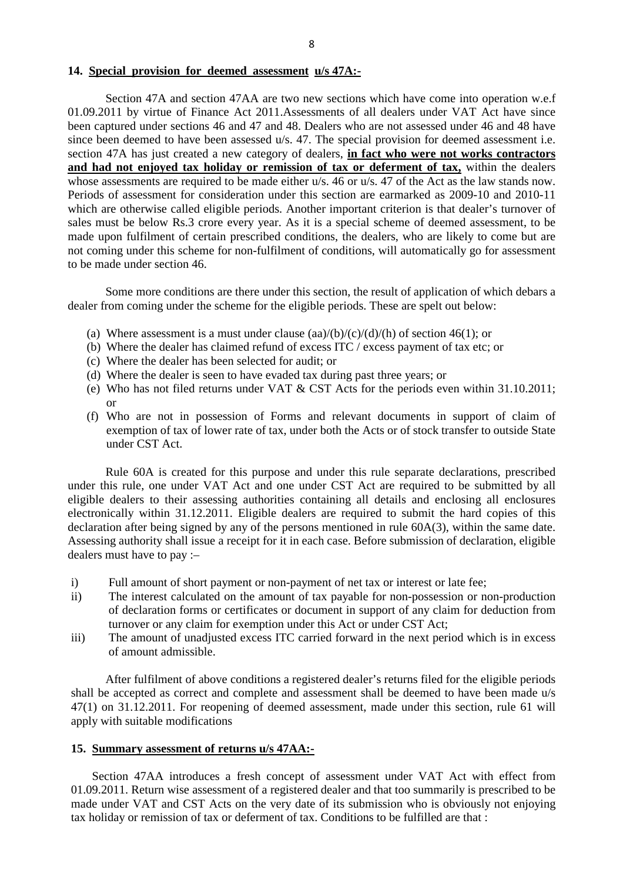#### **14. Special provision for deemed assessment u/s 47A:-**

 Section 47A and section 47AA are two new sections which have come into operation w.e.f 01.09.2011 by virtue of Finance Act 2011.Assessments of all dealers under VAT Act have since been captured under sections 46 and 47 and 48. Dealers who are not assessed under 46 and 48 have since been deemed to have been assessed u/s. 47. The special provision for deemed assessment i.e. section 47A has just created a new category of dealers, **in fact who were not works contractors**  and had not enjoyed tax holiday or remission of tax or deferment of tax, within the dealers whose assessments are required to be made either u/s. 46 or u/s. 47 of the Act as the law stands now. Periods of assessment for consideration under this section are earmarked as 2009-10 and 2010-11 which are otherwise called eligible periods. Another important criterion is that dealer's turnover of sales must be below Rs.3 crore every year. As it is a special scheme of deemed assessment, to be made upon fulfilment of certain prescribed conditions, the dealers, who are likely to come but are not coming under this scheme for non-fulfilment of conditions, will automatically go for assessment to be made under section 46.

 Some more conditions are there under this section, the result of application of which debars a dealer from coming under the scheme for the eligible periods. These are spelt out below:

- (a) Where assessment is a must under clause  $(aa)/(b)/(c)/(d)/(h)$  of section 46(1); or
- (b) Where the dealer has claimed refund of excess ITC / excess payment of tax etc; or
- (c) Where the dealer has been selected for audit; or
- (d) Where the dealer is seen to have evaded tax during past three years; or
- (e) Who has not filed returns under VAT & CST Acts for the periods even within 31.10.2011; or
- (f) Who are not in possession of Forms and relevant documents in support of claim of exemption of tax of lower rate of tax, under both the Acts or of stock transfer to outside State under CST Act.

 Rule 60A is created for this purpose and under this rule separate declarations, prescribed under this rule, one under VAT Act and one under CST Act are required to be submitted by all eligible dealers to their assessing authorities containing all details and enclosing all enclosures electronically within 31.12.2011. Eligible dealers are required to submit the hard copies of this declaration after being signed by any of the persons mentioned in rule 60A(3), within the same date. Assessing authority shall issue a receipt for it in each case. Before submission of declaration, eligible dealers must have to pay :–

- i) Full amount of short payment or non-payment of net tax or interest or late fee;
- ii) The interest calculated on the amount of tax payable for non-possession or non-production of declaration forms or certificates or document in support of any claim for deduction from turnover or any claim for exemption under this Act or under CST Act;
- iii) The amount of unadjusted excess ITC carried forward in the next period which is in excess of amount admissible.

 After fulfilment of above conditions a registered dealer's returns filed for the eligible periods shall be accepted as correct and complete and assessment shall be deemed to have been made u/s 47(1) on 31.12.2011. For reopening of deemed assessment, made under this section, rule 61 will apply with suitable modifications

## **15. Summary assessment of returns u/s 47AA:-**

 Section 47AA introduces a fresh concept of assessment under VAT Act with effect from 01.09.2011. Return wise assessment of a registered dealer and that too summarily is prescribed to be made under VAT and CST Acts on the very date of its submission who is obviously not enjoying tax holiday or remission of tax or deferment of tax. Conditions to be fulfilled are that :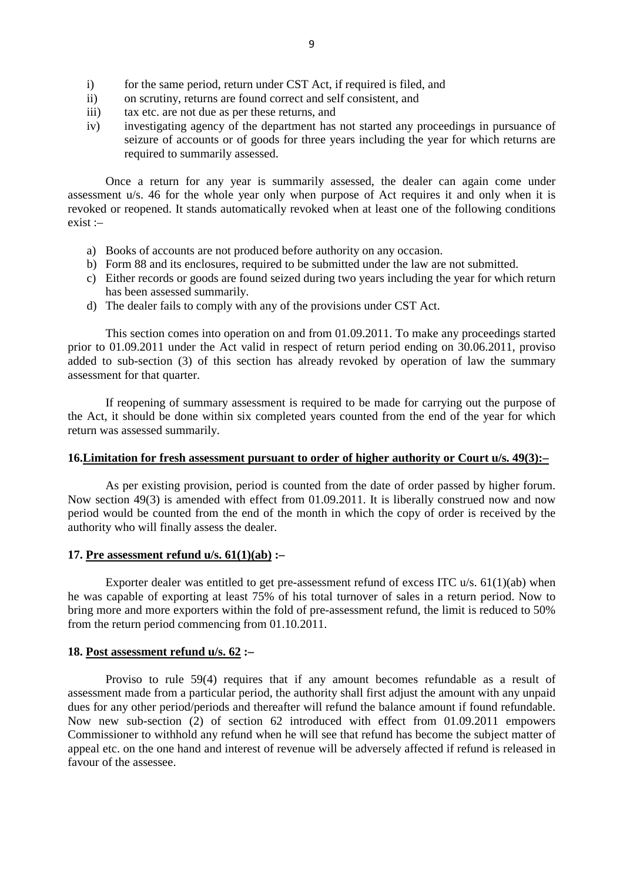- i) for the same period, return under CST Act, if required is filed, and
- ii) on scrutiny, returns are found correct and self consistent, and
- iii) tax etc. are not due as per these returns, and
- iv) investigating agency of the department has not started any proceedings in pursuance of seizure of accounts or of goods for three years including the year for which returns are required to summarily assessed.

 Once a return for any year is summarily assessed, the dealer can again come under assessment u/s. 46 for the whole year only when purpose of Act requires it and only when it is revoked or reopened. It stands automatically revoked when at least one of the following conditions exist :–

- a) Books of accounts are not produced before authority on any occasion.
- b) Form 88 and its enclosures, required to be submitted under the law are not submitted.
- c) Either records or goods are found seized during two years including the year for which return has been assessed summarily.
- d) The dealer fails to comply with any of the provisions under CST Act.

 This section comes into operation on and from 01.09.2011. To make any proceedings started prior to 01.09.2011 under the Act valid in respect of return period ending on 30.06.2011, proviso added to sub-section (3) of this section has already revoked by operation of law the summary assessment for that quarter.

 If reopening of summary assessment is required to be made for carrying out the purpose of the Act, it should be done within six completed years counted from the end of the year for which return was assessed summarily.

#### **16.Limitation for fresh assessment pursuant to order of higher authority or Court u/s. 49(3):–**

 As per existing provision, period is counted from the date of order passed by higher forum. Now section 49(3) is amended with effect from 01.09.2011. It is liberally construed now and now period would be counted from the end of the month in which the copy of order is received by the authority who will finally assess the dealer.

## **17. Pre assessment refund u/s. 61(1)(ab) :–**

 Exporter dealer was entitled to get pre-assessment refund of excess ITC u/s. 61(1)(ab) when he was capable of exporting at least 75% of his total turnover of sales in a return period. Now to bring more and more exporters within the fold of pre-assessment refund, the limit is reduced to 50% from the return period commencing from 01.10.2011.

## **18. Post assessment refund u/s. 62 :–**

 Proviso to rule 59(4) requires that if any amount becomes refundable as a result of assessment made from a particular period, the authority shall first adjust the amount with any unpaid dues for any other period/periods and thereafter will refund the balance amount if found refundable. Now new sub-section (2) of section 62 introduced with effect from 01.09.2011 empowers Commissioner to withhold any refund when he will see that refund has become the subject matter of appeal etc. on the one hand and interest of revenue will be adversely affected if refund is released in favour of the assessee.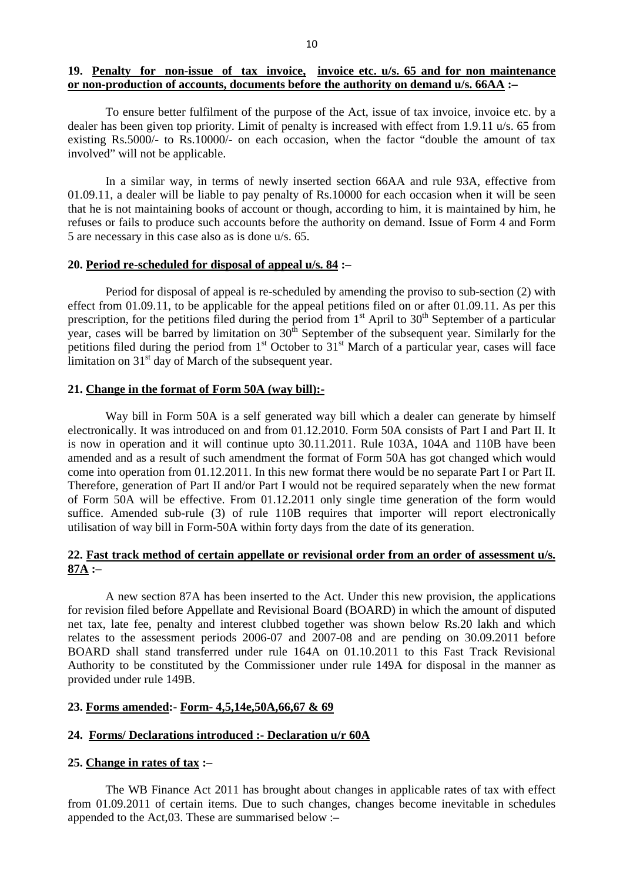# **19. Penalty for non-issue of tax invoice, invoice etc. u/s. 65 and for non maintenance or non-production of accounts, documents before the authority on demand u/s. 66AA :–**

 To ensure better fulfilment of the purpose of the Act, issue of tax invoice, invoice etc. by a dealer has been given top priority. Limit of penalty is increased with effect from 1.9.11 u/s. 65 from existing Rs.5000/- to Rs.10000/- on each occasion, when the factor "double the amount of tax involved" will not be applicable.

 In a similar way, in terms of newly inserted section 66AA and rule 93A, effective from 01.09.11, a dealer will be liable to pay penalty of Rs.10000 for each occasion when it will be seen that he is not maintaining books of account or though, according to him, it is maintained by him, he refuses or fails to produce such accounts before the authority on demand. Issue of Form 4 and Form 5 are necessary in this case also as is done u/s. 65.

#### **20. Period re-scheduled for disposal of appeal u/s. 84 :–**

 Period for disposal of appeal is re-scheduled by amending the proviso to sub-section (2) with effect from 01.09.11, to be applicable for the appeal petitions filed on or after 01.09.11. As per this prescription, for the petitions filed during the period from  $1<sup>st</sup>$  April to  $30<sup>th</sup>$  September of a particular year, cases will be barred by limitation on  $30<sup>th</sup>$  September of the subsequent year. Similarly for the petitions filed during the period from  $1<sup>st</sup>$  October to  $31<sup>st</sup>$  March of a particular year, cases will face limitation on  $31<sup>st</sup>$  day of March of the subsequent year.

#### **21. Change in the format of Form 50A (way bill):-**

Way bill in Form 50A is a self generated way bill which a dealer can generate by himself electronically. It was introduced on and from 01.12.2010. Form 50A consists of Part I and Part II. It is now in operation and it will continue upto 30.11.2011. Rule 103A, 104A and 110B have been amended and as a result of such amendment the format of Form 50A has got changed which would come into operation from 01.12.2011. In this new format there would be no separate Part I or Part II. Therefore, generation of Part II and/or Part I would not be required separately when the new format of Form 50A will be effective. From 01.12.2011 only single time generation of the form would suffice. Amended sub-rule (3) of rule 110B requires that importer will report electronically utilisation of way bill in Form-50A within forty days from the date of its generation.

# **22. Fast track method of certain appellate or revisional order from an order of assessment u/s. 87A :–**

 A new section 87A has been inserted to the Act. Under this new provision, the applications for revision filed before Appellate and Revisional Board (BOARD) in which the amount of disputed net tax, late fee, penalty and interest clubbed together was shown below Rs.20 lakh and which relates to the assessment periods 2006-07 and 2007-08 and are pending on 30.09.2011 before BOARD shall stand transferred under rule 164A on 01.10.2011 to this Fast Track Revisional Authority to be constituted by the Commissioner under rule 149A for disposal in the manner as provided under rule 149B.

## **23. Forms amended:- Form- 4,5,14e,50A,66,67 & 69**

#### **24. Forms/ Declarations introduced :- Declaration u/r 60A**

## **25. Change in rates of tax :–**

 The WB Finance Act 2011 has brought about changes in applicable rates of tax with effect from 01.09.2011 of certain items. Due to such changes, changes become inevitable in schedules appended to the Act,03. These are summarised below :–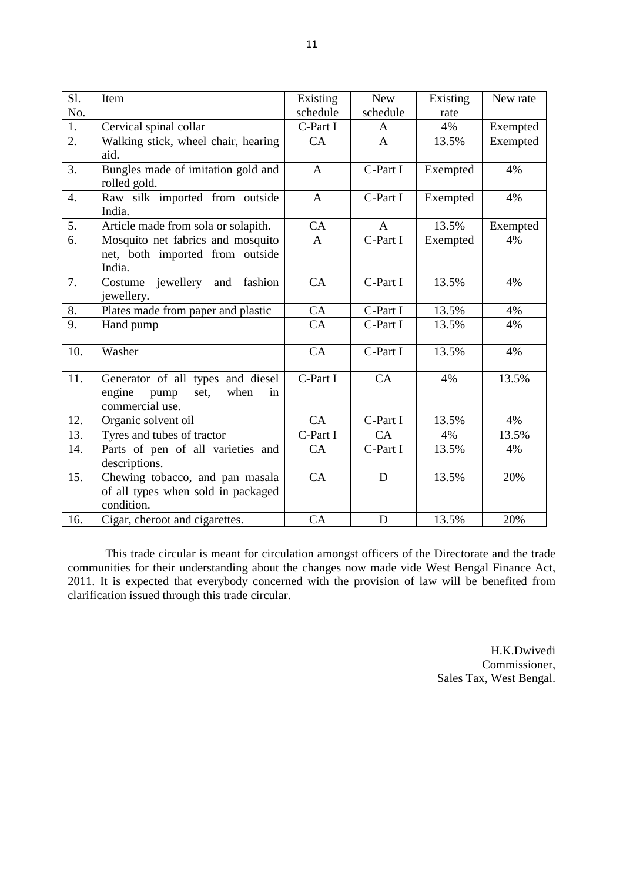| Sl.              | Item                                        | Existing     | <b>New</b>     | Existing | New rate |
|------------------|---------------------------------------------|--------------|----------------|----------|----------|
| No.              |                                             | schedule     | schedule       | rate     |          |
| 1.               | Cervical spinal collar                      | C-Part I     | A              | 4%       | Exempted |
| $\overline{2}$ . | Walking stick, wheel chair, hearing         | CA           | $\overline{A}$ | 13.5%    | Exempted |
|                  | aid.                                        |              |                |          |          |
| $\overline{3}$ . | Bungles made of imitation gold and          | $\mathbf{A}$ | C-Part I       | Exempted | 4%       |
|                  | rolled gold.                                |              |                |          |          |
| $\overline{4}$ . | Raw silk imported from outside<br>India.    | $\mathbf{A}$ | C-Part I       | Exempted | 4%       |
| 5.               | Article made from sola or solapith.         | CA           | A              | 13.5%    | Exempted |
| 6.               | Mosquito net fabrics and mosquito           | $\mathbf{A}$ | C-Part I       | Exempted | 4%       |
|                  | net, both imported from outside             |              |                |          |          |
|                  | India.                                      |              |                |          |          |
| 7.               | Costume jewellery and fashion<br>jewellery. | CA           | C-Part I       | 13.5%    | 4%       |
| 8.               | Plates made from paper and plastic          | CA           | C-Part I       | 13.5%    | 4%       |
| 9.               | Hand pump                                   | CA           | C-Part I       | 13.5%    | 4%       |
| 10.              | Washer                                      | CA           | C-Part I       | 13.5%    | 4%       |
| 11.              | Generator of all types and diesel           | C-Part I     | CA             | 4%       | 13.5%    |
|                  | engine<br>when<br>pump<br>set,<br>in        |              |                |          |          |
|                  | commercial use.                             |              |                |          |          |
| 12.              | Organic solvent oil                         | CA           | C-Part I       | 13.5%    | 4%       |
| 13.              | Tyres and tubes of tractor                  | C-Part I     | CA             | 4%       | 13.5%    |
| 14.              | Parts of pen of all varieties and           | CA           | C-Part I       | 13.5%    | 4%       |
|                  | descriptions.                               |              |                |          |          |
| 15.              | Chewing tobacco, and pan masala             | CA           | $\mathbf D$    | 13.5%    | 20%      |
|                  | of all types when sold in packaged          |              |                |          |          |
|                  | condition.                                  |              |                |          |          |
| 16.              | Cigar, cheroot and cigarettes.              | CA           | D              | 13.5%    | 20%      |

 This trade circular is meant for circulation amongst officers of the Directorate and the trade communities for their understanding about the changes now made vide West Bengal Finance Act, 2011. It is expected that everybody concerned with the provision of law will be benefited from clarification issued through this trade circular.

> H.K.Dwivedi Commissioner, Sales Tax, West Bengal.